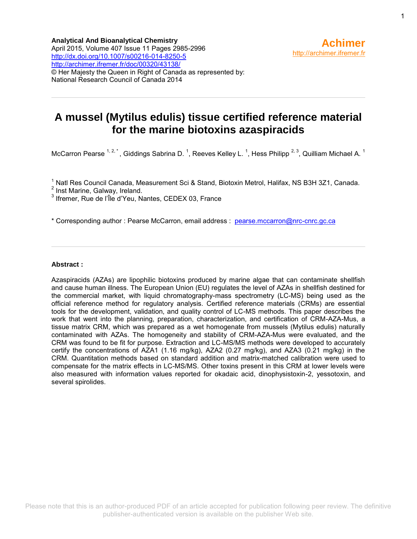# **A mussel (Mytilus edulis) tissue certified reference material for the marine biotoxins azaspiracids**

McCarron Pearse  $1, 2, 1$ , Giddings Sabrina D.  $1$ , Reeves Kelley L.  $1$ , Hess Philipp  $2, 3$ , Quilliam Michael A.  $1$ 

<sup>1</sup> Natl Res Council Canada, Measurement Sci & Stand, Biotoxin Metrol, Halifax, NS B3H 3Z1, Canada.

 $2^{2}$  Inst Marine, Galway, Ireland.

<sup>3</sup> Ifremer, Rue de l'Île d'Yeu, Nantes, CEDEX 03, France

\* Corresponding author : Pearse McCarron, email address : [pearse.mccarron@nrc-cnrc.gc.ca](file:///C:/birt/First_Page_Generation/Exports/pearse.mccarron@nrc-cnrc.gc.ca)

### **Abstract :**

Azaspiracids (AZAs) are lipophilic biotoxins produced by marine algae that can contaminate shellfish and cause human illness. The European Union (EU) regulates the level of AZAs in shellfish destined for the commercial market, with liquid chromatography-mass spectrometry (LC-MS) being used as the official reference method for regulatory analysis. Certified reference materials (CRMs) are essential tools for the development, validation, and quality control of LC-MS methods. This paper describes the work that went into the planning, preparation, characterization, and certification of CRM-AZA-Mus, a tissue matrix CRM, which was prepared as a wet homogenate from mussels (Mytilus edulis) naturally contaminated with AZAs. The homogeneity and stability of CRM-AZA-Mus were evaluated, and the CRM was found to be fit for purpose. Extraction and LC-MS/MS methods were developed to accurately certify the concentrations of AZA1 (1.16 mg/kg), AZA2 (0.27 mg/kg), and AZA3 (0.21 mg/kg) in the CRM. Quantitation methods based on standard addition and matrix-matched calibration were used to compensate for the matrix effects in LC-MS/MS. Other toxins present in this CRM at lower levels were also measured with information values reported for okadaic acid, dinophysistoxin-2, yessotoxin, and several spirolides.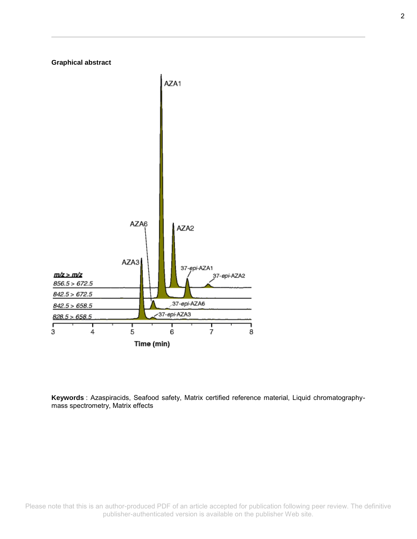

**Keywords** : Azaspiracids, Seafood safety, Matrix certified reference material, Liquid chromatographymass spectrometry, Matrix effects

Please note that this is an author-produced PDF of an article accepted for publication following peer review. The definitive publisher-authenticated version is available on the publisher Web site.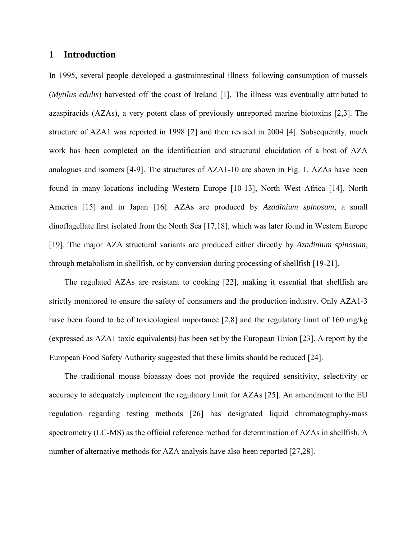# **1 Introduction**

In 1995, several people developed a gastrointestinal illness following consumption of mussels (*Mytilus edulis*) harvested off the coast of Ireland [\[1\]](#page-23-0). The illness was eventually attributed to azaspiracids (AZAs), a very potent class of previously unreported marine biotoxins [\[2](#page-23-1)[,3\]](#page-23-2). The structure of AZA1 was reported in 1998 [\[2\]](#page-23-1) and then revised in 2004 [\[4\]](#page-23-3). Subsequently, much work has been completed on the identification and structural elucidation of a host of AZA analogues and isomers [\[4-9\]](#page-23-3). The structures of AZA1-10 are shown in Fig. 1. AZAs have been found in many locations including Western Europe [\[10-13\]](#page-23-4), North West Africa [\[14\]](#page-23-5), North America [\[15\]](#page-24-0) and in Japan [\[16\]](#page-24-1). AZAs are produced by *Azadinium spinosum*, a small dinoflagellate first isolated from the North Sea [\[17,](#page-24-2)[18\]](#page-24-3), which was later found in Western Europe [\[19\]](#page-24-4). The major AZA structural variants are produced either directly by *Azadinium spinosum*, through metabolism in shellfish, or by conversion during processing of shellfish [\[19-21\]](#page-24-4).

The regulated AZAs are resistant to cooking [\[22\]](#page-24-5), making it essential that shellfish are strictly monitored to ensure the safety of consumers and the production industry. Only AZA1-3 have been found to be of toxicological importance [\[2](#page-23-1)[,8\]](#page-23-6) and the regulatory limit of 160 mg/kg (expressed as AZA1 toxic equivalents) has been set by the European Union [\[23\]](#page-24-6). A report by the European Food Safety Authority suggested that these limits should be reduced [\[24\]](#page-24-7).

The traditional mouse bioassay does not provide the required sensitivity, selectivity or accuracy to adequately implement the regulatory limit for AZAs [\[25\]](#page-24-8). An amendment to the EU regulation regarding testing methods [\[26\]](#page-24-9) has designated liquid chromatography-mass spectrometry (LC-MS) as the official reference method for determination of AZAs in shellfish. A number of alternative methods for AZA analysis have also been reported [\[27,](#page-24-10)[28\]](#page-24-11).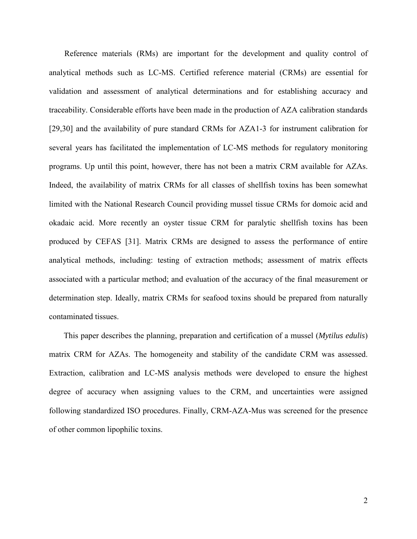Reference materials (RMs) are important for the development and quality control of analytical methods such as LC-MS. Certified reference material (CRMs) are essential for validation and assessment of analytical determinations and for establishing accuracy and traceability. Considerable efforts have been made in the production of AZA calibration standards [\[29](#page-25-0)[,30\]](#page-25-1) and the availability of pure standard CRMs for AZA1-3 for instrument calibration for several years has facilitated the implementation of LC-MS methods for regulatory monitoring programs. Up until this point, however, there has not been a matrix CRM available for AZAs. Indeed, the availability of matrix CRMs for all classes of shellfish toxins has been somewhat limited with the National Research Council providing mussel tissue CRMs for domoic acid and okadaic acid. More recently an oyster tissue CRM for paralytic shellfish toxins has been produced by CEFAS [\[31\]](#page-25-2). Matrix CRMs are designed to assess the performance of entire analytical methods, including: testing of extraction methods; assessment of matrix effects associated with a particular method; and evaluation of the accuracy of the final measurement or determination step. Ideally, matrix CRMs for seafood toxins should be prepared from naturally contaminated tissues.

This paper describes the planning, preparation and certification of a mussel (*Mytilus edulis*) matrix CRM for AZAs. The homogeneity and stability of the candidate CRM was assessed. Extraction, calibration and LC-MS analysis methods were developed to ensure the highest degree of accuracy when assigning values to the CRM, and uncertainties were assigned following standardized ISO procedures. Finally, CRM-AZA-Mus was screened for the presence of other common lipophilic toxins.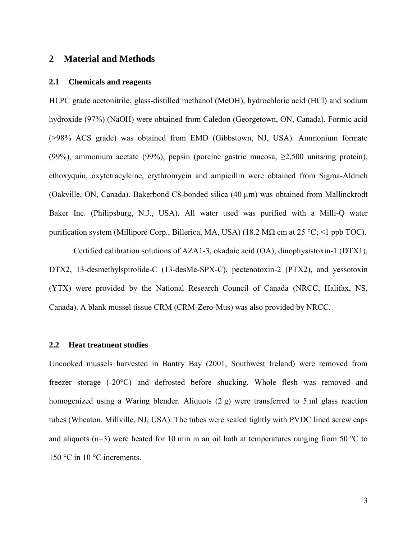# **2 Material and Methods**

#### **2.1 Chemicals and reagents**

HLPC grade acetonitrile, glass-distilled methanol (MeOH), hydrochloric acid (HCl) and sodium hydroxide (97%) (NaOH) were obtained from Caledon (Georgetown, ON, Canada). Formic acid (>98% ACS grade) was obtained from EMD (Gibbstown, NJ, USA). Ammonium formate (99%), ammonium acetate (99%), pepsin (porcine gastric mucosa, ≥2,500 units/mg protein), ethoxyquin, oxytetracylcine, erythromycin and ampicillin were obtained from Sigma-Aldrich (Oakville, ON, Canada). Bakerbond C8-bonded silica (40 µm) was obtained from Mallinckrodt Baker Inc. (Philipsburg, N.J., USA). All water used was purified with a Milli-Q water purification system (Millipore Corp., Billerica, MA, USA) (18.2 M $\Omega$  cm at 25 °C; <1 ppb TOC).

Certified calibration solutions of AZA1-3, okadaic acid (OA), dinophysistoxin-1 (DTX1), DTX2, 13-desmethylspirolide-C (13-desMe-SPX-C), pectenotoxin-2 (PTX2), and yessotoxin (YTX) were provided by the National Research Council of Canada (NRCC, Halifax, NS, Canada). A blank mussel tissue CRM (CRM-Zero-Mus) was also provided by NRCC.

## **2.2 Heat treatment studies**

Uncooked mussels harvested in Bantry Bay (2001, Southwest Ireland) were removed from freezer storage (-20°C) and defrosted before shucking. Whole flesh was removed and homogenized using a Waring blender. Aliquots (2 g) were transferred to 5 ml glass reaction tubes (Wheaton, Millville, NJ, USA). The tubes were sealed tightly with PVDC lined screw caps and aliquots ( $n=3$ ) were heated for 10 min in an oil bath at temperatures ranging from 50 °C to 150 °C in 10 °C increments.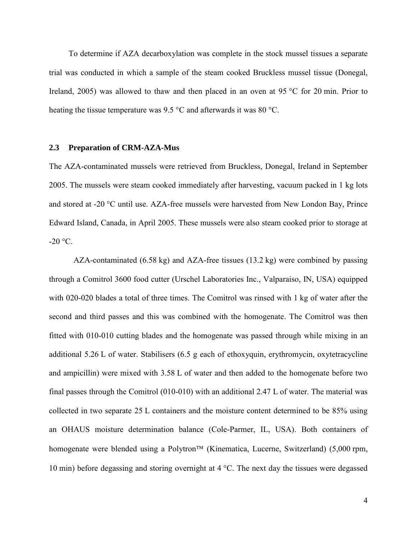To determine if AZA decarboxylation was complete in the stock mussel tissues a separate trial was conducted in which a sample of the steam cooked Bruckless mussel tissue (Donegal, Ireland, 2005) was allowed to thaw and then placed in an oven at 95 °C for 20 min. Prior to heating the tissue temperature was 9.5 °C and afterwards it was 80 °C.

### **2.3 Preparation of CRM-AZA-Mus**

The AZA-contaminated mussels were retrieved from Bruckless, Donegal, Ireland in September 2005. The mussels were steam cooked immediately after harvesting, vacuum packed in 1 kg lots and stored at -20 °C until use. AZA-free mussels were harvested from New London Bay, Prince Edward Island, Canada, in April 2005. These mussels were also steam cooked prior to storage at  $-20$  °C.

AZA-contaminated (6.58 kg) and AZA-free tissues (13.2 kg) were combined by passing through a Comitrol 3600 food cutter (Urschel Laboratories Inc., Valparaiso, IN, USA) equipped with 020-020 blades a total of three times. The Comitrol was rinsed with 1 kg of water after the second and third passes and this was combined with the homogenate. The Comitrol was then fitted with 010-010 cutting blades and the homogenate was passed through while mixing in an additional 5.26 L of water. Stabilisers (6.5 g each of ethoxyquin, erythromycin, oxytetracycline and ampicillin) were mixed with 3.58 L of water and then added to the homogenate before two final passes through the Comitrol (010-010) with an additional 2.47 L of water. The material was collected in two separate 25 L containers and the moisture content determined to be 85% using an OHAUS moisture determination balance (Cole-Parmer, IL, USA). Both containers of homogenate were blended using a Polytron<sup>™</sup> (Kinematica, Lucerne, Switzerland) (5,000 rpm, 10 min) before degassing and storing overnight at 4 °C. The next day the tissues were degassed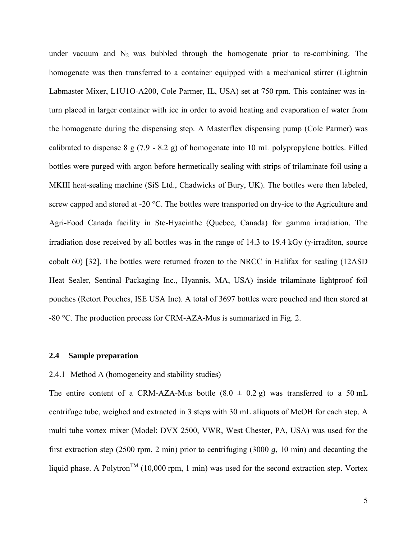under vacuum and  $N_2$  was bubbled through the homogenate prior to re-combining. The homogenate was then transferred to a container equipped with a mechanical stirrer (Lightnin Labmaster Mixer, L1U1O-A200, Cole Parmer, IL, USA) set at 750 rpm. This container was inturn placed in larger container with ice in order to avoid heating and evaporation of water from the homogenate during the dispensing step. A Masterflex dispensing pump (Cole Parmer) was calibrated to dispense 8 g (7.9 - 8.2 g) of homogenate into 10 mL polypropylene bottles. Filled bottles were purged with argon before hermetically sealing with strips of trilaminate foil using a MKIII heat-sealing machine (SiS Ltd., Chadwicks of Bury, UK). The bottles were then labeled, screw capped and stored at -20 °C. The bottles were transported on dry-ice to the Agriculture and Agri-Food Canada facility in Ste-Hyacinthe (Quebec, Canada) for gamma irradiation. The irradiation dose received by all bottles was in the range of  $14.3$  to  $19.4$  kGy ( $\gamma$ -irraditon, source cobalt 60) [\[32\]](#page-25-3). The bottles were returned frozen to the NRCC in Halifax for sealing (12ASD Heat Sealer, Sentinal Packaging Inc., Hyannis, MA, USA) inside trilaminate lightproof foil pouches (Retort Pouches, ISE USA Inc). A total of 3697 bottles were pouched and then stored at -80 °C. The production process for CRM-AZA-Mus is summarized in Fig. 2.

## **2.4 Sample preparation**

## 2.4.1 Method A (homogeneity and stability studies)

The entire content of a CRM-AZA-Mus bottle  $(8.0 \pm 0.2 \text{ g})$  was transferred to a 50 mL centrifuge tube, weighed and extracted in 3 steps with 30 mL aliquots of MeOH for each step. A multi tube vortex mixer (Model: DVX 2500, VWR, West Chester, PA, USA) was used for the first extraction step (2500 rpm, 2 min) prior to centrifuging (3000 *g*, 10 min) and decanting the liquid phase. A Polytron<sup>TM</sup> (10,000 rpm, 1 min) was used for the second extraction step. Vortex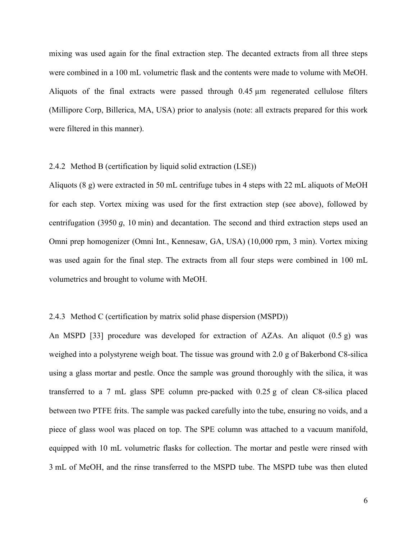mixing was used again for the final extraction step. The decanted extracts from all three steps were combined in a 100 mL volumetric flask and the contents were made to volume with MeOH. Aliquots of the final extracts were passed through 0.45 µm regenerated cellulose filters (Millipore Corp, Billerica, MA, USA) prior to analysis (note: all extracts prepared for this work were filtered in this manner).

## 2.4.2 Method B (certification by liquid solid extraction (LSE))

Aliquots (8 g) were extracted in 50 mL centrifuge tubes in 4 steps with 22 mL aliquots of MeOH for each step. Vortex mixing was used for the first extraction step (see above), followed by centrifugation (3950 *g*, 10 min) and decantation. The second and third extraction steps used an Omni prep homogenizer (Omni Int., Kennesaw, GA, USA) (10,000 rpm, 3 min). Vortex mixing was used again for the final step. The extracts from all four steps were combined in 100 mL volumetrics and brought to volume with MeOH.

## 2.4.3 Method C (certification by matrix solid phase dispersion (MSPD))

An MSPD [\[33\]](#page-25-4) procedure was developed for extraction of AZAs. An aliquot (0.5 g) was weighed into a polystyrene weigh boat. The tissue was ground with 2.0 g of Bakerbond C8-silica using a glass mortar and pestle. Once the sample was ground thoroughly with the silica, it was transferred to a 7 mL glass SPE column pre-packed with 0.25 g of clean C8-silica placed between two PTFE frits. The sample was packed carefully into the tube, ensuring no voids, and a piece of glass wool was placed on top. The SPE column was attached to a vacuum manifold, equipped with 10 mL volumetric flasks for collection. The mortar and pestle were rinsed with 3 mL of MeOH, and the rinse transferred to the MSPD tube. The MSPD tube was then eluted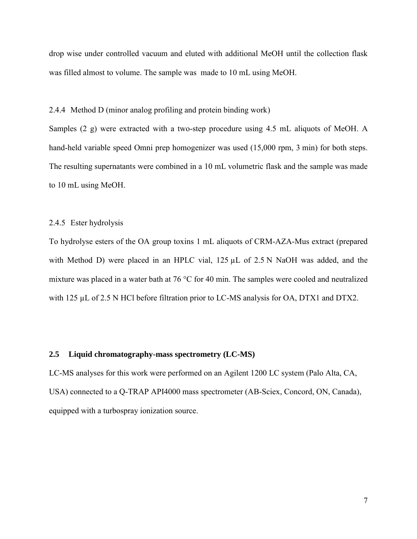drop wise under controlled vacuum and eluted with additional MeOH until the collection flask was filled almost to volume. The sample was made to 10 mL using MeOH.

2.4.4 Method D (minor analog profiling and protein binding work)

Samples (2 g) were extracted with a two-step procedure using 4.5 mL aliquots of MeOH. A hand-held variable speed Omni prep homogenizer was used (15,000 rpm, 3 min) for both steps. The resulting supernatants were combined in a 10 mL volumetric flask and the sample was made to 10 mL using MeOH.

## 2.4.5 Ester hydrolysis

To hydrolyse esters of the OA group toxins 1 mL aliquots of CRM-AZA-Mus extract (prepared with Method D) were placed in an HPLC vial, 125  $\mu$ L of 2.5 N NaOH was added, and the mixture was placed in a water bath at 76 °C for 40 min. The samples were cooled and neutralized with 125  $\mu$ L of 2.5 N HCl before filtration prior to LC-MS analysis for OA, DTX1 and DTX2.

## **2.5 Liquid chromatography-mass spectrometry (LC-MS)**

LC-MS analyses for this work were performed on an Agilent 1200 LC system (Palo Alta, CA, USA) connected to a Q-TRAP API4000 mass spectrometer (AB-Sciex, Concord, ON, Canada), equipped with a turbospray ionization source.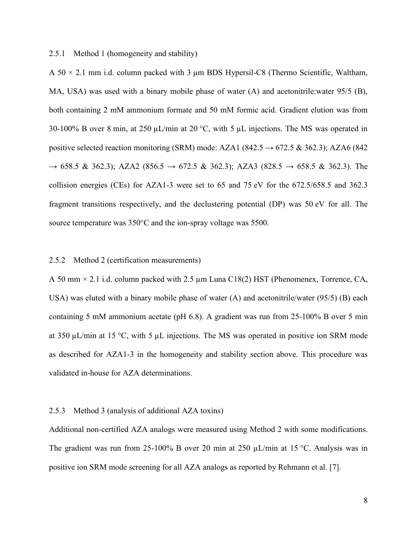## 2.5.1 Method 1 (homogeneity and stability)

A  $50 \times 2.1$  mm i.d. column packed with 3 µm BDS Hypersil-C8 (Thermo Scientific, Waltham, MA, USA) was used with a binary mobile phase of water (A) and acetonitrile:water 95/5 (B), both containing 2 mM ammonium formate and 50 mM formic acid. Gradient elution was from 30-100% B over 8 min, at 250  $\mu$ L/min at 20 °C, with 5  $\mu$ L injections. The MS was operated in positive selected reaction monitoring (SRM) mode: AZA1 (842.5  $\rightarrow$  672.5 & 362.3); AZA6 (842)  $\rightarrow$  658.5 & 362.3); AZA2 (856.5  $\rightarrow$  672.5 & 362.3); AZA3 (828.5  $\rightarrow$  658.5 & 362.3). The collision energies (CEs) for AZA1-3 were set to 65 and 75 eV for the 672.5/658.5 and 362.3 fragment transitions respectively, and the declustering potential (DP) was 50 eV for all. The source temperature was 350°C and the ion-spray voltage was 5500.

## 2.5.2 Method 2 (certification measurements)

A 50 mm  $\times$  2.1 i.d. column packed with 2.5 µm Luna C18(2) HST (Phenomenex, Torrence, CA, USA) was eluted with a binary mobile phase of water (A) and acetonitrile/water (95/5) (B) each containing 5 mM ammonium acetate (pH 6.8). A gradient was run from 25-100% B over 5 min at 350  $\mu$ L/min at 15 °C, with 5  $\mu$ L injections. The MS was operated in positive ion SRM mode as described for AZA1-3 in the homogeneity and stability section above. This procedure was validated in-house for AZA determinations.

## 2.5.3 Method 3 (analysis of additional AZA toxins)

Additional non-certified AZA analogs were measured using Method 2 with some modifications. The gradient was run from 25-100% B over 20 min at 250  $\mu$ L/min at 15 °C. Analysis was in positive ion SRM mode screening for all AZA analogs as reported by Rehmann et al. [\[7\]](#page-23-7).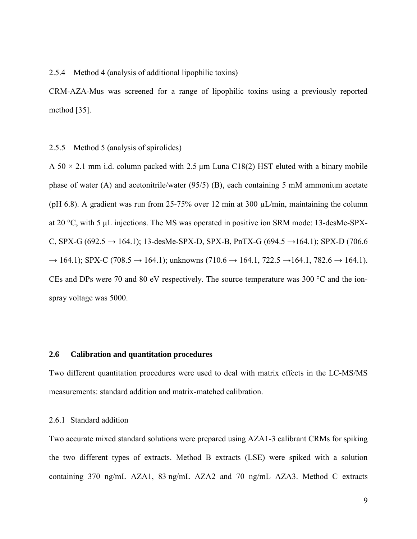2.5.4 Method 4 (analysis of additional lipophilic toxins)

CRM-AZA-Mus was screened for a range of lipophilic toxins using a previously reported method [\[35\]](#page-25-5).

2.5.5 Method 5 (analysis of spirolides)

A  $50 \times 2.1$  mm i.d. column packed with 2.5 µm Luna C18(2) HST eluted with a binary mobile phase of water (A) and acetonitrile/water  $(95/5)$  (B), each containing 5 mM ammonium acetate (pH 6.8). A gradient was run from 25-75% over 12 min at 300  $\mu$ L/min, maintaining the column at 20 °C, with 5 µL injections. The MS was operated in positive ion SRM mode: 13-desMe-SPX-C, SPX-G (692.5 → 164.1); 13-desMe-SPX-D, SPX-B, PnTX-G (694.5 → 164.1); SPX-D (706.6  $\rightarrow$  164.1); SPX-C (708.5  $\rightarrow$  164.1); unknowns (710.6  $\rightarrow$  164.1, 722.5  $\rightarrow$  164.1, 782.6  $\rightarrow$  164.1). CEs and DPs were 70 and 80 eV respectively. The source temperature was 300 °C and the ionspray voltage was 5000.

## **2.6 Calibration and quantitation procedures**

Two different quantitation procedures were used to deal with matrix effects in the LC-MS/MS measurements: standard addition and matrix-matched calibration.

# 2.6.1 Standard addition

Two accurate mixed standard solutions were prepared using AZA1-3 calibrant CRMs for spiking the two different types of extracts. Method B extracts (LSE) were spiked with a solution containing 370 ng/mL AZA1, 83 ng/mL AZA2 and 70 ng/mL AZA3. Method C extracts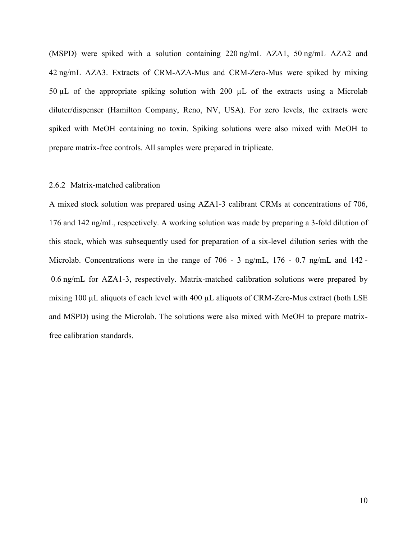(MSPD) were spiked with a solution containing 220 ng/mL AZA1, 50 ng/mL AZA2 and 42 ng/mL AZA3. Extracts of CRM-AZA-Mus and CRM-Zero-Mus were spiked by mixing 50 µL of the appropriate spiking solution with 200 µL of the extracts using a Microlab diluter/dispenser (Hamilton Company, Reno, NV, USA). For zero levels, the extracts were spiked with MeOH containing no toxin. Spiking solutions were also mixed with MeOH to prepare matrix-free controls. All samples were prepared in triplicate.

## 2.6.2 Matrix-matched calibration

A mixed stock solution was prepared using AZA1-3 calibrant CRMs at concentrations of 706, 176 and 142 ng/mL, respectively. A working solution was made by preparing a 3-fold dilution of this stock, which was subsequently used for preparation of a six-level dilution series with the Microlab. Concentrations were in the range of 706 - 3 ng/mL, 176 - 0.7 ng/mL and 142 - 0.6 ng/mL for AZA1-3, respectively. Matrix-matched calibration solutions were prepared by mixing 100 µL aliquots of each level with 400 µL aliquots of CRM-Zero-Mus extract (both LSE and MSPD) using the Microlab. The solutions were also mixed with MeOH to prepare matrixfree calibration standards.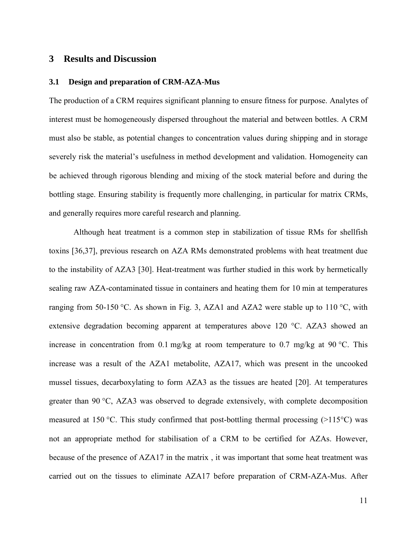# **3 Results and Discussion**

## **3.1 Design and preparation of CRM-AZA-Mus**

The production of a CRM requires significant planning to ensure fitness for purpose. Analytes of interest must be homogeneously dispersed throughout the material and between bottles. A CRM must also be stable, as potential changes to concentration values during shipping and in storage severely risk the material's usefulness in method development and validation. Homogeneity can be achieved through rigorous blending and mixing of the stock material before and during the bottling stage. Ensuring stability is frequently more challenging, in particular for matrix CRMs, and generally requires more careful research and planning.

Although heat treatment is a common step in stabilization of tissue RMs for shellfish toxins [\[36](#page-25-6)[,37\]](#page-25-7), previous research on AZA RMs demonstrated problems with heat treatment due to the instability of AZA3 [\[30\]](#page-25-1). Heat-treatment was further studied in this work by hermetically sealing raw AZA-contaminated tissue in containers and heating them for 10 min at temperatures ranging from 50-150 °C. As shown in Fig. 3, AZA1 and AZA2 were stable up to 110 °C, with extensive degradation becoming apparent at temperatures above 120 °C. AZA3 showed an increase in concentration from 0.1 mg/kg at room temperature to 0.7 mg/kg at 90 °C. This increase was a result of the AZA1 metabolite, AZA17, which was present in the uncooked mussel tissues, decarboxylating to form AZA3 as the tissues are heated [\[20\]](#page-24-12). At temperatures greater than 90 °C, AZA3 was observed to degrade extensively, with complete decomposition measured at 150 °C. This study confirmed that post-bottling thermal processing  $(>115$ °C) was not an appropriate method for stabilisation of a CRM to be certified for AZAs. However, because of the presence of AZA17 in the matrix , it was important that some heat treatment was carried out on the tissues to eliminate AZA17 before preparation of CRM-AZA-Mus. After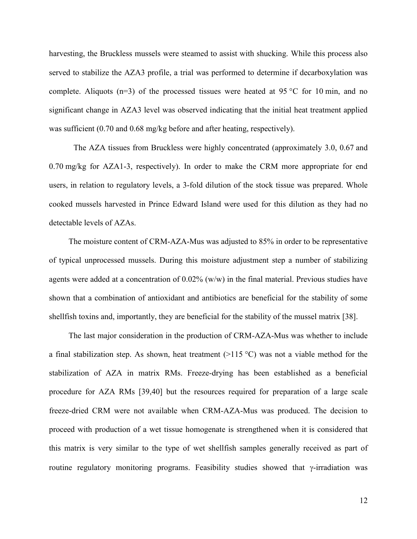harvesting, the Bruckless mussels were steamed to assist with shucking. While this process also served to stabilize the AZA3 profile, a trial was performed to determine if decarboxylation was complete. Aliquots (n=3) of the processed tissues were heated at 95 °C for 10 min, and no significant change in AZA3 level was observed indicating that the initial heat treatment applied was sufficient (0.70 and 0.68 mg/kg before and after heating, respectively).

The AZA tissues from Bruckless were highly concentrated (approximately 3.0, 0.67 and 0.70 mg/kg for AZA1-3, respectively). In order to make the CRM more appropriate for end users, in relation to regulatory levels, a 3-fold dilution of the stock tissue was prepared. Whole cooked mussels harvested in Prince Edward Island were used for this dilution as they had no detectable levels of AZAs.

The moisture content of CRM-AZA-Mus was adjusted to 85% in order to be representative of typical unprocessed mussels. During this moisture adjustment step a number of stabilizing agents were added at a concentration of 0.02% (w/w) in the final material. Previous studies have shown that a combination of antioxidant and antibiotics are beneficial for the stability of some shellfish toxins and, importantly, they are beneficial for the stability of the mussel matrix [\[38\]](#page-25-8).

The last major consideration in the production of CRM-AZA-Mus was whether to include a final stabilization step. As shown, heat treatment  $(>115 \degree C)$  was not a viable method for the stabilization of AZA in matrix RMs. Freeze-drying has been established as a beneficial procedure for AZA RMs [\[39](#page-25-9)[,40\]](#page-25-10) but the resources required for preparation of a large scale freeze-dried CRM were not available when CRM-AZA-Mus was produced. The decision to proceed with production of a wet tissue homogenate is strengthened when it is considered that this matrix is very similar to the type of wet shellfish samples generally received as part of routine regulatory monitoring programs. Feasibility studies showed that  $\gamma$ -irradiation was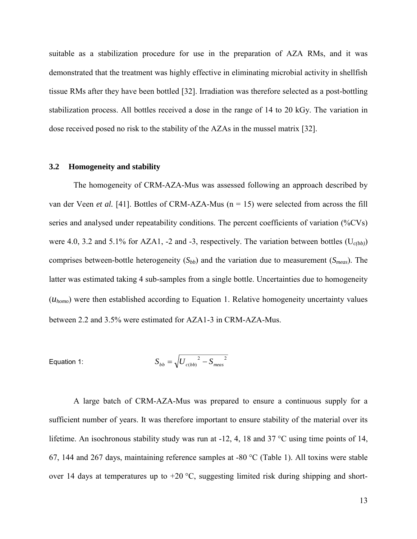suitable as a stabilization procedure for use in the preparation of AZA RMs, and it was demonstrated that the treatment was highly effective in eliminating microbial activity in shellfish tissue RMs after they have been bottled [\[32\]](#page-25-3). Irradiation was therefore selected as a post-bottling stabilization process. All bottles received a dose in the range of 14 to 20 kGy. The variation in dose received posed no risk to the stability of the AZAs in the mussel matrix [\[32\]](#page-25-3).

### **3.2 Homogeneity and stability**

The homogeneity of CRM-AZA-Mus was assessed following an approach described by van der Veen *et al.* [\[41\]](#page-25-11). Bottles of CRM-AZA-Mus (n = 15) were selected from across the fill series and analysed under repeatability conditions. The percent coefficients of variation (%CVs) were 4.0, 3.2 and 5.1% for AZA1, -2 and -3, respectively. The variation between bottles (U*c(bb)*) comprises between-bottle heterogeneity (*Sbb*) and the variation due to measurement (*Smeas*). The latter was estimated taking 4 sub-samples from a single bottle. Uncertainties due to homogeneity (*uhomo*) were then established according to Equation 1. Relative homogeneity uncertainty values between 2.2 and 3.5% were estimated for AZA1-3 in CRM-AZA-Mus.

Equation 1: 
$$
S_{bb} = \sqrt{U_{c(bb)}^2 - S_{meas}^2}
$$

A large batch of CRM-AZA-Mus was prepared to ensure a continuous supply for a sufficient number of years. It was therefore important to ensure stability of the material over its lifetime. An isochronous stability study was run at -12, 4, 18 and 37 °C using time points of 14, 67, 144 and 267 days, maintaining reference samples at -80 °C (Table 1). All toxins were stable over 14 days at temperatures up to  $+20$  °C, suggesting limited risk during shipping and short-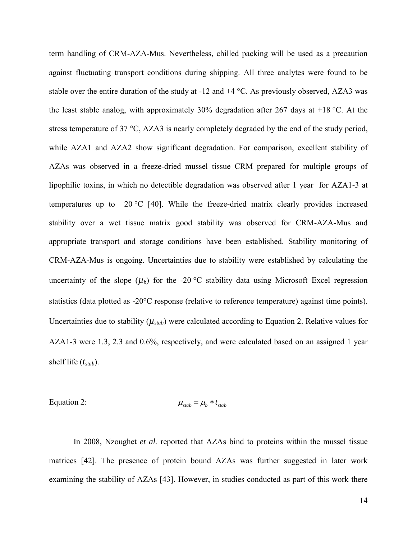term handling of CRM-AZA-Mus. Nevertheless, chilled packing will be used as a precaution against fluctuating transport conditions during shipping. All three analytes were found to be stable over the entire duration of the study at -12 and +4 °C. As previously observed, AZA3 was the least stable analog, with approximately 30% degradation after 267 days at  $+18$  °C. At the stress temperature of 37 °C, AZA3 is nearly completely degraded by the end of the study period, while AZA1 and AZA2 show significant degradation. For comparison, excellent stability of AZAs was observed in a freeze-dried mussel tissue CRM prepared for multiple groups of lipophilic toxins, in which no detectible degradation was observed after 1 year for AZA1-3 at temperatures up to  $+20$  °C [\[40\]](#page-25-10). While the freeze-dried matrix clearly provides increased stability over a wet tissue matrix good stability was observed for CRM-AZA-Mus and appropriate transport and storage conditions have been established. Stability monitoring of CRM-AZA-Mus is ongoing. Uncertainties due to stability were established by calculating the uncertainty of the slope  $(\mu_b)$  for the -20 °C stability data using Microsoft Excel regression statistics (data plotted as -20°C response (relative to reference temperature) against time points). Uncertainties due to stability  $(\mu_{stab})$  were calculated according to Equation 2. Relative values for AZA1-3 were 1.3, 2.3 and 0.6%, respectively, and were calculated based on an assigned 1 year shelf life (*tstab*).

Equation 2: 
$$
\mu_{\text{stab}} = \mu_b * t_{\text{stab}}
$$

In 2008, Nzoughet *et al.* reported that AZAs bind to proteins within the mussel tissue matrices [\[42\]](#page-25-12). The presence of protein bound AZAs was further suggested in later work examining the stability of AZAs [\[43\]](#page-25-13). However, in studies conducted as part of this work there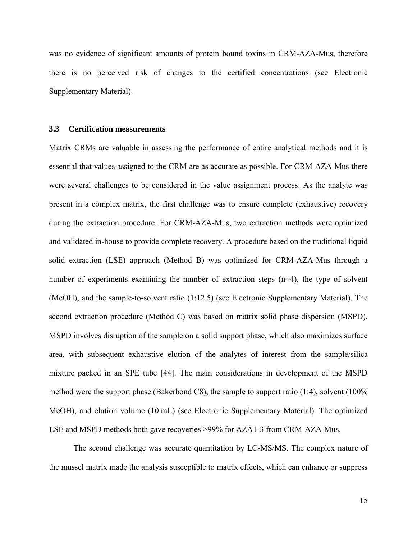was no evidence of significant amounts of protein bound toxins in CRM-AZA-Mus, therefore there is no perceived risk of changes to the certified concentrations (see Electronic Supplementary Material).

### **3.3 Certification measurements**

Matrix CRMs are valuable in assessing the performance of entire analytical methods and it is essential that values assigned to the CRM are as accurate as possible. For CRM-AZA-Mus there were several challenges to be considered in the value assignment process. As the analyte was present in a complex matrix, the first challenge was to ensure complete (exhaustive) recovery during the extraction procedure. For CRM-AZA-Mus, two extraction methods were optimized and validated in-house to provide complete recovery. A procedure based on the traditional liquid solid extraction (LSE) approach (Method B) was optimized for CRM-AZA-Mus through a number of experiments examining the number of extraction steps (n=4), the type of solvent (MeOH), and the sample-to-solvent ratio (1:12.5) (see Electronic Supplementary Material). The second extraction procedure (Method C) was based on matrix solid phase dispersion (MSPD). MSPD involves disruption of the sample on a solid support phase, which also maximizes surface area, with subsequent exhaustive elution of the analytes of interest from the sample/silica mixture packed in an SPE tube [\[44\]](#page-26-0). The main considerations in development of the MSPD method were the support phase (Bakerbond C8), the sample to support ratio (1:4), solvent (100% MeOH), and elution volume (10 mL) (see Electronic Supplementary Material). The optimized LSE and MSPD methods both gave recoveries >99% for AZA1-3 from CRM-AZA-Mus.

The second challenge was accurate quantitation by LC-MS/MS. The complex nature of the mussel matrix made the analysis susceptible to matrix effects, which can enhance or suppress

15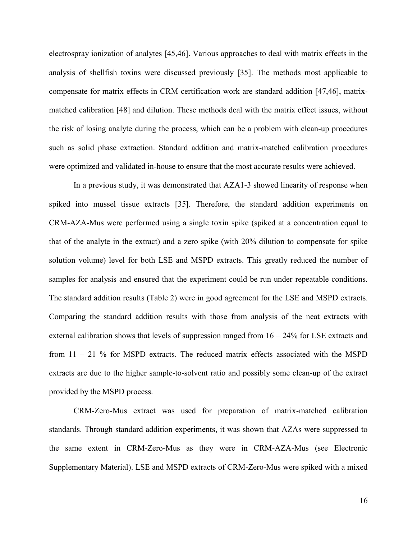electrospray ionization of analytes [\[45](#page-26-1)[,46\]](#page-26-2). Various approaches to deal with matrix effects in the analysis of shellfish toxins were discussed previously [\[35\]](#page-25-5). The methods most applicable to compensate for matrix effects in CRM certification work are standard addition [\[47](#page-26-3)[,46\]](#page-26-2), matrixmatched calibration [\[48\]](#page-26-4) and dilution. These methods deal with the matrix effect issues, without the risk of losing analyte during the process, which can be a problem with clean-up procedures such as solid phase extraction. Standard addition and matrix-matched calibration procedures were optimized and validated in-house to ensure that the most accurate results were achieved.

In a previous study, it was demonstrated that AZA1-3 showed linearity of response when spiked into mussel tissue extracts [\[35\]](#page-25-5). Therefore, the standard addition experiments on CRM-AZA-Mus were performed using a single toxin spike (spiked at a concentration equal to that of the analyte in the extract) and a zero spike (with 20% dilution to compensate for spike solution volume) level for both LSE and MSPD extracts. This greatly reduced the number of samples for analysis and ensured that the experiment could be run under repeatable conditions. The standard addition results (Table 2) were in good agreement for the LSE and MSPD extracts. Comparing the standard addition results with those from analysis of the neat extracts with external calibration shows that levels of suppression ranged from 16 – 24% for LSE extracts and from 11 – 21 % for MSPD extracts. The reduced matrix effects associated with the MSPD extracts are due to the higher sample-to-solvent ratio and possibly some clean-up of the extract provided by the MSPD process.

CRM-Zero-Mus extract was used for preparation of matrix-matched calibration standards. Through standard addition experiments, it was shown that AZAs were suppressed to the same extent in CRM-Zero-Mus as they were in CRM-AZA-Mus (see Electronic Supplementary Material). LSE and MSPD extracts of CRM-Zero-Mus were spiked with a mixed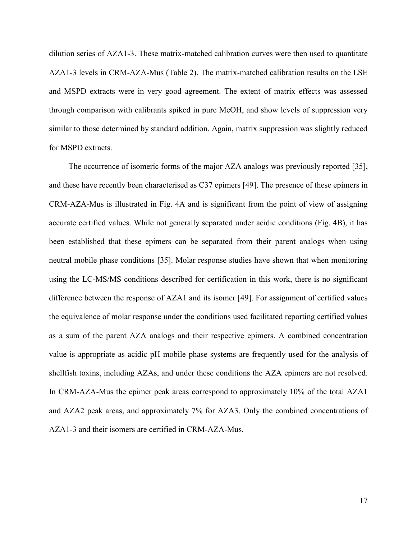dilution series of AZA1-3. These matrix-matched calibration curves were then used to quantitate AZA1-3 levels in CRM-AZA-Mus (Table 2). The matrix-matched calibration results on the LSE and MSPD extracts were in very good agreement. The extent of matrix effects was assessed through comparison with calibrants spiked in pure MeOH, and show levels of suppression very similar to those determined by standard addition. Again, matrix suppression was slightly reduced for MSPD extracts.

The occurrence of isomeric forms of the major AZA analogs was previously reported [\[35\]](#page-25-5), and these have recently been characterised as C37 epimers [\[49\]](#page-26-5). The presence of these epimers in CRM-AZA-Mus is illustrated in Fig. 4A and is significant from the point of view of assigning accurate certified values. While not generally separated under acidic conditions (Fig. 4B), it has been established that these epimers can be separated from their parent analogs when using neutral mobile phase conditions [\[35\]](#page-25-5). Molar response studies have shown that when monitoring using the LC-MS/MS conditions described for certification in this work, there is no significant difference between the response of AZA1 and its isomer [\[49\]](#page-26-5). For assignment of certified values the equivalence of molar response under the conditions used facilitated reporting certified values as a sum of the parent AZA analogs and their respective epimers. A combined concentration value is appropriate as acidic pH mobile phase systems are frequently used for the analysis of shellfish toxins, including AZAs, and under these conditions the AZA epimers are not resolved. In CRM-AZA-Mus the epimer peak areas correspond to approximately 10% of the total AZA1 and AZA2 peak areas, and approximately 7% for AZA3. Only the combined concentrations of AZA1-3 and their isomers are certified in CRM-AZA-Mus.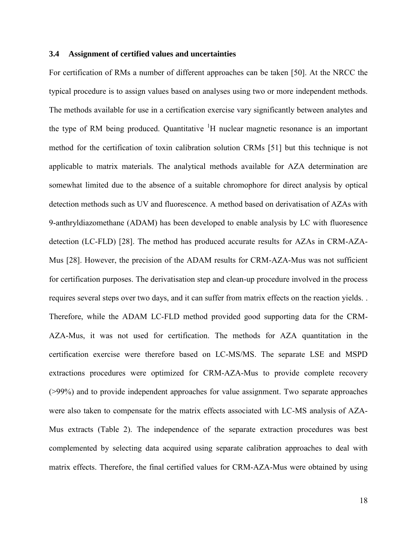## **3.4 Assignment of certified values and uncertainties**

For certification of RMs a number of different approaches can be taken [\[50\]](#page-26-6). At the NRCC the typical procedure is to assign values based on analyses using two or more independent methods. The methods available for use in a certification exercise vary significantly between analytes and the type of RM being produced. Quantitative  ${}^{1}H$  nuclear magnetic resonance is an important method for the certification of toxin calibration solution CRMs [\[51\]](#page-26-7) but this technique is not applicable to matrix materials. The analytical methods available for AZA determination are somewhat limited due to the absence of a suitable chromophore for direct analysis by optical detection methods such as UV and fluorescence. A method based on derivatisation of AZAs with 9-anthryldiazomethane (ADAM) has been developed to enable analysis by LC with fluoresence detection (LC-FLD) [\[28\]](#page-24-11). The method has produced accurate results for AZAs in CRM-AZA-Mus [\[28\]](#page-24-11). However, the precision of the ADAM results for CRM-AZA-Mus was not sufficient for certification purposes. The derivatisation step and clean-up procedure involved in the process requires several steps over two days, and it can suffer from matrix effects on the reaction yields. . Therefore, while the ADAM LC-FLD method provided good supporting data for the CRM-AZA-Mus, it was not used for certification. The methods for AZA quantitation in the certification exercise were therefore based on LC-MS/MS. The separate LSE and MSPD extractions procedures were optimized for CRM-AZA-Mus to provide complete recovery (>99%) and to provide independent approaches for value assignment. Two separate approaches were also taken to compensate for the matrix effects associated with LC-MS analysis of AZA-Mus extracts (Table 2). The independence of the separate extraction procedures was best complemented by selecting data acquired using separate calibration approaches to deal with matrix effects. Therefore, the final certified values for CRM-AZA-Mus were obtained by using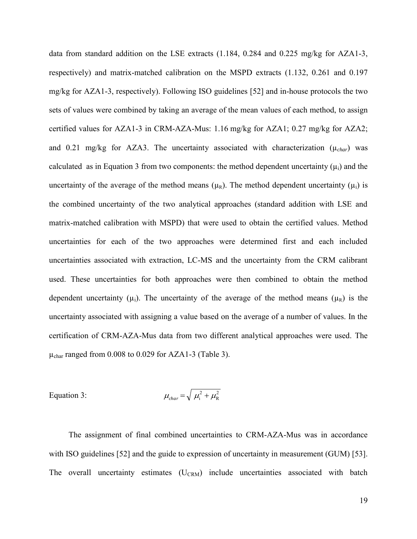data from standard addition on the LSE extracts (1.184, 0.284 and 0.225 mg/kg for AZA1-3, respectively) and matrix-matched calibration on the MSPD extracts (1.132, 0.261 and 0.197 mg/kg for AZA1-3, respectively). Following ISO guidelines [\[52\]](#page-26-8) and in-house protocols the two sets of values were combined by taking an average of the mean values of each method, to assign certified values for AZA1-3 in CRM-AZA-Mus: 1.16 mg/kg for AZA1; 0.27 mg/kg for AZA2; and 0.21 mg/kg for AZA3. The uncertainty associated with characterization ( $\mu_{char}$ ) was calculated as in Equation 3 from two components: the method dependent uncertainty  $(\mu_i)$  and the uncertainty of the average of the method means  $(\mu_R)$ . The method dependent uncertainty  $(\mu_i)$  is the combined uncertainty of the two analytical approaches (standard addition with LSE and matrix-matched calibration with MSPD) that were used to obtain the certified values. Method uncertainties for each of the two approaches were determined first and each included uncertainties associated with extraction, LC-MS and the uncertainty from the CRM calibrant used. These uncertainties for both approaches were then combined to obtain the method dependent uncertainty ( $\mu_i$ ). The uncertainty of the average of the method means ( $\mu_R$ ) is the uncertainty associated with assigning a value based on the average of a number of values. In the certification of CRM-AZA-Mus data from two different analytical approaches were used. The  $\mu_{\text{char}}$  ranged from 0.008 to 0.029 for AZA1-3 (Table 3).

Equation 3: 
$$
\mu_{char} = \sqrt{\mu_i^2 + \mu_R^2}
$$

The assignment of final combined uncertainties to CRM-AZA-Mus was in accordance with ISO guidelines [\[52\]](#page-26-8) and the guide to expression of uncertainty in measurement (GUM) [\[53\]](#page-26-9). The overall uncertainty estimates  $(U_{CRM})$  include uncertainties associated with batch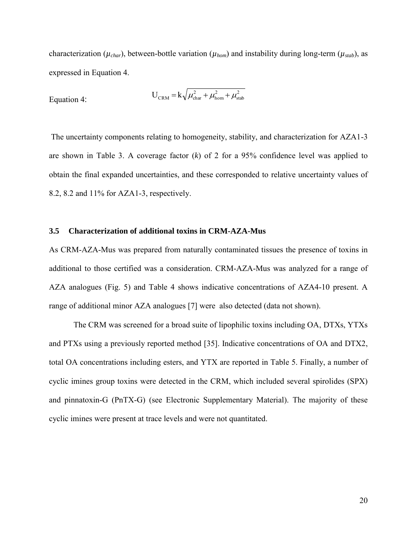characterization ( $\mu_{char}$ ), between-bottle variation ( $\mu_{hom}$ ) and instability during long-term ( $\mu_{stab}$ ), as expressed in Equation 4.

$$
U_{\text{CRM}} = k \sqrt{\mu_{\text{char}}^2 + \mu_{\text{hom}}^2 + \mu_{\text{stab}}^2}
$$

The uncertainty components relating to homogeneity, stability, and characterization for AZA1-3 are shown in Table 3. A coverage factor (*k*) of 2 for a 95% confidence level was applied to obtain the final expanded uncertainties, and these corresponded to relative uncertainty values of 8.2, 8.2 and 11% for AZA1-3, respectively.

### **3.5 Characterization of additional toxins in CRM-AZA-Mus**

As CRM-AZA-Mus was prepared from naturally contaminated tissues the presence of toxins in additional to those certified was a consideration. CRM-AZA-Mus was analyzed for a range of AZA analogues (Fig. 5) and Table 4 shows indicative concentrations of AZA4-10 present. A range of additional minor AZA analogues [\[7\]](#page-23-7) were also detected (data not shown).

The CRM was screened for a broad suite of lipophilic toxins including OA, DTXs, YTXs and PTXs using a previously reported method [\[35\]](#page-25-5). Indicative concentrations of OA and DTX2, total OA concentrations including esters, and YTX are reported in Table 5. Finally, a number of cyclic imines group toxins were detected in the CRM, which included several spirolides (SPX) and pinnatoxin-G (PnTX-G) (see Electronic Supplementary Material). The majority of these cyclic imines were present at trace levels and were not quantitated.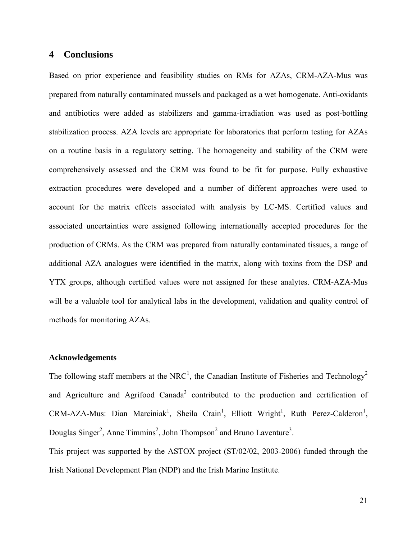# **4 Conclusions**

Based on prior experience and feasibility studies on RMs for AZAs, CRM-AZA-Mus was prepared from naturally contaminated mussels and packaged as a wet homogenate. Anti-oxidants and antibiotics were added as stabilizers and gamma-irradiation was used as post-bottling stabilization process. AZA levels are appropriate for laboratories that perform testing for AZAs on a routine basis in a regulatory setting. The homogeneity and stability of the CRM were comprehensively assessed and the CRM was found to be fit for purpose. Fully exhaustive extraction procedures were developed and a number of different approaches were used to account for the matrix effects associated with analysis by LC-MS. Certified values and associated uncertainties were assigned following internationally accepted procedures for the production of CRMs. As the CRM was prepared from naturally contaminated tissues, a range of additional AZA analogues were identified in the matrix, along with toxins from the DSP and YTX groups, although certified values were not assigned for these analytes. CRM-AZA-Mus will be a valuable tool for analytical labs in the development, validation and quality control of methods for monitoring AZAs.

### **Acknowledgements**

The following staff members at the NRC<sup>1</sup>, the Canadian Institute of Fisheries and Technology<sup>2</sup> and Agriculture and Agrifood Canada<sup>3</sup> contributed to the production and certification of  $CRM-AZA-Mus$ : Dian Marciniak<sup>1</sup>, Sheila Crain<sup>1</sup>, Elliott Wright<sup>1</sup>, Ruth Perez-Calderon<sup>1</sup>, Douglas Singer<sup>2</sup>, Anne Timmins<sup>2</sup>, John Thompson<sup>2</sup> and Bruno Laventure<sup>3</sup>.

This project was supported by the ASTOX project (ST/02/02, 2003-2006) funded through the Irish National Development Plan (NDP) and the Irish Marine Institute.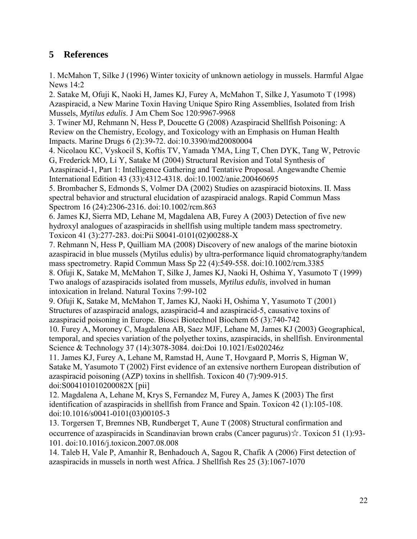# **5 References**

<span id="page-23-0"></span>1. McMahon T, Silke J (1996) Winter toxicity of unknown aetiology in mussels. Harmful Algae News 14:2

<span id="page-23-1"></span>2. Satake M, Ofuji K, Naoki H, James KJ, Furey A, McMahon T, Silke J, Yasumoto T (1998) Azaspiracid, a New Marine Toxin Having Unique Spiro Ring Assemblies, Isolated from Irish Mussels, *Mytilus edulis*. J Am Chem Soc 120:9967-9968

<span id="page-23-2"></span>3. Twiner MJ, Rehmann N, Hess P, Doucette G (2008) Azaspiracid Shellfish Poisoning: A Review on the Chemistry, Ecology, and Toxicology with an Emphasis on Human Health Impacts. Marine Drugs 6 (2):39-72. doi:10.3390/md20080004

<span id="page-23-3"></span>4. Nicolaou KC, Vyskocil S, Koftis TV, Yamada YMA, Ling T, Chen DYK, Tang W, Petrovic G, Frederick MO, Li Y, Satake M (2004) Structural Revision and Total Synthesis of Azaspiracid-1, Part 1: Intelligence Gathering and Tentative Proposal. Angewandte Chemie

International Edition 43 (33):4312-4318. doi:10.1002/anie.200460695

5. Brombacher S, Edmonds S, Volmer DA (2002) Studies on azaspiracid biotoxins. II. Mass spectral behavior and structural elucidation of azaspiracid analogs. Rapid Commun Mass Spectrom 16 (24):2306-2316. doi:10.1002/rcm.863

6. James KJ, Sierra MD, Lehane M, Magdalena AB, Furey A (2003) Detection of five new hydroxyl analogues of azaspiracids in shellfish using multiple tandem mass spectrometry. Toxicon 41 (3):277-283. doi:Pii S0041-0101(02)00288-X

<span id="page-23-7"></span>7. Rehmann N, Hess P, Quilliam MA (2008) Discovery of new analogs of the marine biotoxin azaspiracid in blue mussels (Mytilus edulis) by ultra-performance liquid chromatography/tandem mass spectrometry. Rapid Commun Mass Sp 22 (4):549-558. doi:10.1002/rcm.3385

<span id="page-23-6"></span>8. Ofuji K, Satake M, McMahon T, Silke J, James KJ, Naoki H, Oshima Y, Yasumoto T (1999) Two analogs of azaspiracids isolated from mussels, *Mytilus edulis*, involved in human intoxication in Ireland. Natural Toxins 7:99-102

9. Ofuji K, Satake M, McMahon T, James KJ, Naoki H, Oshima Y, Yasumoto T (2001) Structures of azaspiracid analogs, azaspiracid-4 and azaspiracid-5, causative toxins of azaspiracid poisoning in Europe. Biosci Biotechnol Biochem 65 (3):740-742

<span id="page-23-4"></span>10. Furey A, Moroney C, Magdalena AB, Saez MJF, Lehane M, James KJ (2003) Geographical, temporal, and species variation of the polyether toxins, azaspiracids, in shellfish. Environmental Science & Technology 37 (14):3078-3084. doi:Doi 10.1021/Es020246z

11. James KJ, Furey A, Lehane M, Ramstad H, Aune T, Hovgaard P, Morris S, Higman W, Satake M, Yasumoto T (2002) First evidence of an extensive northern European distribution of azaspiracid poisoning (AZP) toxins in shellfish. Toxicon 40 (7):909-915. doi:S004101010200082X [pii]

12. Magdalena A, Lehane M, Krys S, Fernandez M, Furey A, James K (2003) The first identification of azaspiracids in shellfish from France and Spain. Toxicon 42 (1):105-108. doi:10.1016/s0041-0101(03)00105-3

13. Torgersen T, Bremnes NB, Rundberget T, Aune T (2008) Structural confirmation and occurrence of azaspiracids in Scandinavian brown crabs (Cancer pagurus)☆. Toxicon 51 (1):93- 101. doi:10.1016/j.toxicon.2007.08.008

<span id="page-23-5"></span>14. Taleb H, Vale P, Amanhir R, Benhadouch A, Sagou R, Chafik A (2006) First detection of azaspiracids in mussels in north west Africa. J Shellfish Res 25 (3):1067-1070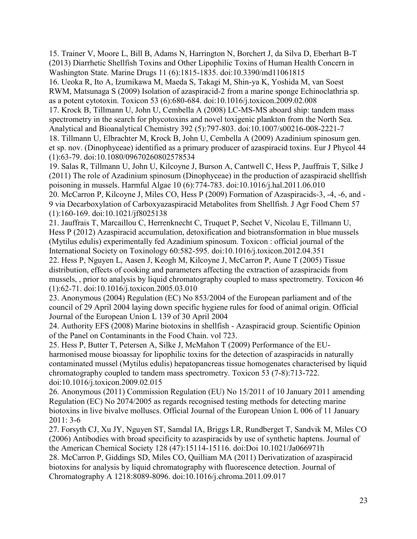<span id="page-24-0"></span>15. Trainer V, Moore L, Bill B, Adams N, Harrington N, Borchert J, da Silva D, Eberhart B-T (2013) Diarrhetic Shellfish Toxins and Other Lipophilic Toxins of Human Health Concern in Washington State. Marine Drugs 11 (6):1815-1835. doi:10.3390/md11061815

<span id="page-24-1"></span>16. Ueoka R, Ito A, Izumikawa M, Maeda S, Takagi M, Shin-ya K, Yoshida M, van Soest RWM, Matsunaga S (2009) Isolation of azaspiracid-2 from a marine sponge Echinoclathria sp. as a potent cytotoxin. Toxicon 53 (6):680-684. doi:10.1016/j.toxicon.2009.02.008

<span id="page-24-2"></span>17. Krock B, Tillmann U, John U, Cembella A (2008) LC-MS-MS aboard ship: tandem mass spectrometry in the search for phycotoxins and novel toxigenic plankton from the North Sea. Analytical and Bioanalytical Chemistry 392 (5):797-803. doi:10.1007/s00216-008-2221-7

<span id="page-24-3"></span>18. Tillmann U, Elbrachter M, Krock B, John U, Cembella A (2009) Azadinium spinosum gen. et sp. nov. (Dinophyceae) identified as a primary producer of azaspiracid toxins. Eur J Phycol 44 (1):63-79. doi:10.1080/09670260802578534

<span id="page-24-12"></span><span id="page-24-4"></span>19. Salas R, Tillmann U, John U, Kilcoyne J, Burson A, Cantwell C, Hess P, Jauffrais T, Silke J (2011) The role of Azadinium spinosum (Dinophyceae) in the production of azaspiracid shellfish poisoning in mussels. Harmful Algae 10 (6):774-783. doi:10.1016/j.hal.2011.06.010 20. McCarron P, Kilcoyne J, Miles CO, Hess P (2009) Formation of Azaspiracids-3, -4, -6, and - 9 via Decarboxylation of Carboxyazaspiracid Metabolites from Shellfish. J Agr Food Chem 57 (1):160-169. doi:10.1021/jf8025138

21. Jauffrais T, Marcaillou C, Herrenknecht C, Truquet P, Sechet V, Nicolau E, Tillmann U, Hess P (2012) Azaspiracid accumulation, detoxification and biotransformation in blue mussels (Mytilus edulis) experimentally fed Azadinium spinosum. Toxicon : official journal of the International Society on Toxinology 60:582-595. doi:10.1016/j.toxicon.2012.04.351

<span id="page-24-5"></span>22. Hess P, Nguyen L, Aasen J, Keogh M, Kilcoyne J, McCarron P, Aune T (2005) Tissue distribution, effects of cooking and parameters affecting the extraction of azaspiracids from mussels, , prior to analysis by liquid chromatography coupled to mass spectrometry. Toxicon 46 (1):62-71. doi:10.1016/j.toxicon.2005.03.010

<span id="page-24-6"></span>23. Anonymous (2004) Regulation (EC) No 853/2004 of the European parliament and of the council of 29 April 2004 laying down specific hygiene rules for food of animal origin. Official Journal of the European Union L 139 of 30 April 2004

<span id="page-24-7"></span>24. Authority EFS (2008) Marine biotoxins in shellfish - Azaspiracid group. Scientific Opinion of the Panel on Contaminants in the Food Chain. vol 723.

<span id="page-24-8"></span>25. Hess P, Butter T, Petersen A, Silke J, McMahon T (2009) Performance of the EUharmonised mouse bioassay for lipophilic toxins for the detection of azaspiracids in naturally contaminated mussel (Mytilus edulis) hepatopancreas tissue homogenates characterised by liquid chromatography coupled to tandem mass spectrometry. Toxicon 53 (7-8):713-722. doi:10.1016/j.toxicon.2009.02.015

<span id="page-24-9"></span>26. Anonymous (2011) Commission Regulation (EU) No 15/2011 of 10 January 2011 amending Regulation (EC) No 2074/2005 as regards recognised testing methods for detecting marine biotoxins in live bivalve molluscs. Official Journal of the European Union L 006 of 11 January 2011: 3-6

<span id="page-24-10"></span>27. Forsyth CJ, Xu JY, Nguyen ST, Samdal IA, Briggs LR, Rundberget T, Sandvik M, Miles CO (2006) Antibodies with broad specificity to azaspiracids by use of synthetic haptens. Journal of the American Chemical Society 128 (47):15114-15116. doi:Doi 10.1021/Ja066971h

<span id="page-24-11"></span>28. McCarron P, Giddings SD, Miles CO, Quilliam MA (2011) Derivatization of azaspiracid biotoxins for analysis by liquid chromatography with fluorescence detection. Journal of Chromatography A 1218:8089-8096. doi:10.1016/j.chroma.2011.09.017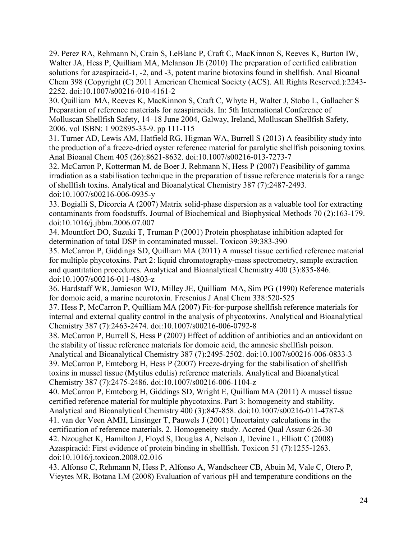<span id="page-25-0"></span>29. Perez RA, Rehmann N, Crain S, LeBlanc P, Craft C, MacKinnon S, Reeves K, Burton IW, Walter JA, Hess P, Quilliam MA, Melanson JE (2010) The preparation of certified calibration solutions for azaspiracid-1, -2, and -3, potent marine biotoxins found in shellfish. Anal Bioanal Chem 398 (Copyright (C) 2011 American Chemical Society (ACS). All Rights Reserved.):2243- 2252. doi:10.1007/s00216-010-4161-2

<span id="page-25-1"></span>30. Quilliam MA, Reeves K, MacKinnon S, Craft C, Whyte H, Walter J, Stobo L, Gallacher S Preparation of reference materials for azaspiracids. In: 5th International Conference of Molluscan Shellfish Safety, 14–18 June 2004, Galway, Ireland, Molluscan Shellfish Safety, 2006. vol ISBN: 1 902895-33-9. pp 111-115

<span id="page-25-2"></span>31. Turner AD, Lewis AM, Hatfield RG, Higman WA, Burrell S (2013) A feasibility study into the production of a freeze-dried oyster reference material for paralytic shellfish poisoning toxins. Anal Bioanal Chem 405 (26):8621-8632. doi:10.1007/s00216-013-7273-7

<span id="page-25-3"></span>32. McCarron P, Kotterman M, de Boer J, Rehmann N, Hess P (2007) Feasibility of gamma irradiation as a stabilisation technique in the preparation of tissue reference materials for a range of shellfish toxins. Analytical and Bioanalytical Chemistry 387 (7):2487-2493. doi:10.1007/s00216-006-0935-y

<span id="page-25-4"></span>33. Bogialli S, Dicorcia A (2007) Matrix solid-phase dispersion as a valuable tool for extracting contaminants from foodstuffs. Journal of Biochemical and Biophysical Methods 70 (2):163-179. doi:10.1016/j.jbbm.2006.07.007

34. Mountfort DO, Suzuki T, Truman P (2001) Protein phosphatase inhibition adapted for determination of total DSP in contaminated mussel. Toxicon 39:383-390

<span id="page-25-5"></span>35. McCarron P, Giddings SD, Quilliam MA (2011) A mussel tissue certified reference material for multiple phycotoxins. Part 2: liquid chromatography-mass spectrometry, sample extraction and quantitation procedures. Analytical and Bioanalytical Chemistry 400 (3):835-846. doi:10.1007/s00216-011-4803-z

<span id="page-25-6"></span>36. Hardstaff WR, Jamieson WD, Milley JE, Quilliam MA, Sim PG (1990) Reference materials for domoic acid, a marine neurotoxin. Fresenius J Anal Chem 338:520-525

<span id="page-25-7"></span>37. Hess P, McCarron P, Quilliam MA (2007) Fit-for-purpose shellfish reference materials for internal and external quality control in the analysis of phycotoxins. Analytical and Bioanalytical Chemistry 387 (7):2463-2474. doi:10.1007/s00216-006-0792-8

<span id="page-25-8"></span>38. McCarron P, Burrell S, Hess P (2007) Effect of addition of antibiotics and an antioxidant on the stability of tissue reference materials for domoic acid, the amnesic shellfish poison.

<span id="page-25-9"></span>Analytical and Bioanalytical Chemistry 387 (7):2495-2502. doi:10.1007/s00216-006-0833-3 39. McCarron P, Emteborg H, Hess P (2007) Freeze-drying for the stabilisation of shellfish toxins in mussel tissue (Mytilus edulis) reference materials. Analytical and Bioanalytical Chemistry 387 (7):2475-2486. doi:10.1007/s00216-006-1104-z

<span id="page-25-10"></span>40. McCarron P, Emteborg H, Giddings SD, Wright E, Quilliam MA (2011) A mussel tissue certified reference material for multiple phycotoxins. Part 3: homogeneity and stability.

<span id="page-25-11"></span>Analytical and Bioanalytical Chemistry 400 (3):847-858. doi:10.1007/s00216-011-4787-8 41. van der Veen AMH, Linsinger T, Pauwels J (2001) Uncertainty calculations in the certification of reference materials. 2. Homogeneity study. Accred Qual Assur 6:26-30

<span id="page-25-12"></span>42. Nzoughet K, Hamilton J, Floyd S, Douglas A, Nelson J, Devine L, Elliott C (2008) Azaspiracid: First evidence of protein binding in shellfish. Toxicon 51 (7):1255-1263. doi:10.1016/j.toxicon.2008.02.016

<span id="page-25-13"></span>43. Alfonso C, Rehmann N, Hess P, Alfonso A, Wandscheer CB, Abuin M, Vale C, Otero P, Vieytes MR, Botana LM (2008) Evaluation of various pH and temperature conditions on the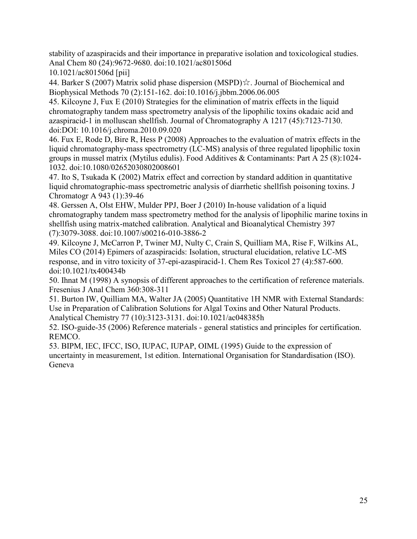stability of azaspiracids and their importance in preparative isolation and toxicological studies. Anal Chem 80 (24):9672-9680. doi:10.1021/ac801506d

10.1021/ac801506d [pii]

<span id="page-26-0"></span>44. Barker S (2007) Matrix solid phase dispersion (MSPD)☆. Journal of Biochemical and Biophysical Methods 70 (2):151-162. doi:10.1016/j.jbbm.2006.06.005

<span id="page-26-1"></span>45. Kilcoyne J, Fux E (2010) Strategies for the elimination of matrix effects in the liquid chromatography tandem mass spectrometry analysis of the lipophilic toxins okadaic acid and azaspiracid-1 in molluscan shellfish. Journal of Chromatography A 1217 (45):7123-7130. doi:DOI: 10.1016/j.chroma.2010.09.020

<span id="page-26-2"></span>46. Fux E, Rode D, Bire R, Hess P (2008) Approaches to the evaluation of matrix effects in the liquid chromatography-mass spectrometry (LC-MS) analysis of three regulated lipophilic toxin groups in mussel matrix (Mytilus edulis). Food Additives & Contaminants: Part A 25 (8):1024- 1032. doi:10.1080/02652030802008601

<span id="page-26-3"></span>47. Ito S, Tsukada K (2002) Matrix effect and correction by standard addition in quantitative liquid chromatographic-mass spectrometric analysis of diarrhetic shellfish poisoning toxins. J Chromatogr A 943 (1):39-46

<span id="page-26-4"></span>48. Gerssen A, Olst EHW, Mulder PPJ, Boer J (2010) In-house validation of a liquid chromatography tandem mass spectrometry method for the analysis of lipophilic marine toxins in shellfish using matrix-matched calibration. Analytical and Bioanalytical Chemistry 397 (7):3079-3088. doi:10.1007/s00216-010-3886-2

<span id="page-26-5"></span>49. Kilcoyne J, McCarron P, Twiner MJ, Nulty C, Crain S, Quilliam MA, Rise F, Wilkins AL, Miles CO (2014) Epimers of azaspiracids: Isolation, structural elucidation, relative LC-MS response, and in vitro toxicity of 37-epi-azaspiracid-1. Chem Res Toxicol 27 (4):587-600. doi:10.1021/tx400434b

<span id="page-26-6"></span>50. Ihnat M (1998) A synopsis of different approaches to the certification of reference materials. Fresenius J Anal Chem 360:308-311

<span id="page-26-7"></span>51. Burton IW, Quilliam MA, Walter JA (2005) Quantitative 1H NMR with External Standards:  Use in Preparation of Calibration Solutions for Algal Toxins and Other Natural Products. Analytical Chemistry 77 (10):3123-3131. doi:10.1021/ac048385h

<span id="page-26-8"></span>52. ISO-guide-35 (2006) Reference materials - general statistics and principles for certification. REMCO.

<span id="page-26-9"></span>53. BIPM, IEC, IFCC, ISO, IUPAC, IUPAP, OIML (1995) Guide to the expression of uncertainty in measurement, 1st edition. International Organisation for Standardisation (ISO). Geneva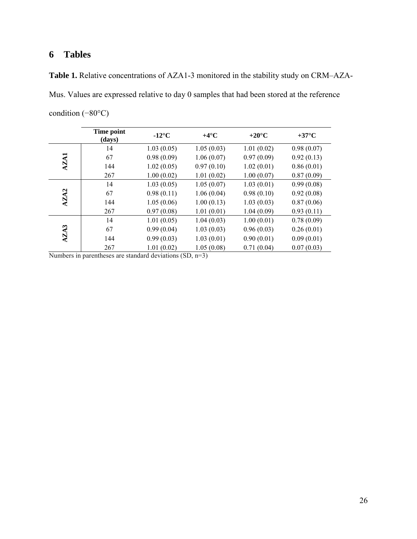# **Tables**

**Table 1.** Relative concentrations of AZA1-3 monitored in the stability study on CRM–AZA-Mus. Values are expressed relative to day 0 samples that had been stored at the reference condition (−80°C)

|             | Time point<br>(days) | $-12^{\circ}C$ | $+4^\circ$ C | $+20^{\circ}$ C | $+37^{\circ}$ C |
|-------------|----------------------|----------------|--------------|-----------------|-----------------|
|             | 14                   | 1.03(0.05)     | 1.05(0.03)   | 1.01(0.02)      | 0.98(0.07)      |
| <b>AZA1</b> | 67                   | 0.98(0.09)     | 1.06(0.07)   | 0.97(0.09)      | 0.92(0.13)      |
|             | 144                  | 1.02(0.05)     | 0.97(0.10)   | 1.02(0.01)      | 0.86(0.01)      |
|             | 267                  | 1.00(0.02)     | 1.01(0.02)   | 1.00(0.07)      | 0.87(0.09)      |
|             | 14                   | 1.03(0.05)     | 1.05(0.07)   | 1.03(0.01)      | 0.99(0.08)      |
|             | 67                   | 0.98(0.11)     | 1.06(0.04)   | 0.98(0.10)      | 0.92(0.08)      |
| AZA2        | 144                  | 1.05(0.06)     | 1.00(0.13)   | 1.03(0.03)      | 0.87(0.06)      |
|             | 267                  | 0.97(0.08)     | 1.01(0.01)   | 1.04(0.09)      | 0.93(0.11)      |
|             | 14                   | 1.01(0.05)     | 1.04(0.03)   | 1.00(0.01)      | 0.78(0.09)      |
|             | 67                   | 0.99(0.04)     | 1.03(0.03)   | 0.96(0.03)      | 0.26(0.01)      |
| AZA3        | 144                  | 0.99(0.03)     | 1.03(0.01)   | 0.90(0.01)      | 0.09(0.01)      |
|             | 267                  | 1.01(0.02)     | 1.05(0.08)   | 0.71(0.04)      | 0.07(0.03)      |

Numbers in parentheses are standard deviations (SD, n=3)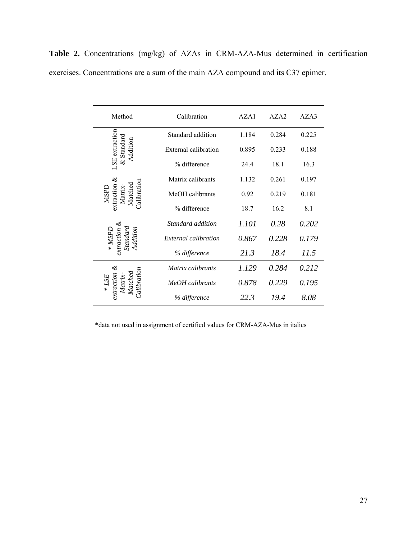**Table 2.** Concentrations (mg/kg) of AZAs in CRM-AZA-Mus determined in certification exercises. Concentrations are a sum of the main AZA compound and its C37 epimer.

| Method                                                | Calibration                                                  | AZA1<br>AZA <sub>2</sub> |       | AZA3  |
|-------------------------------------------------------|--------------------------------------------------------------|--------------------------|-------|-------|
|                                                       | Standard addition                                            | 1.184                    |       | 0.225 |
| SE extraction<br>& Standard<br>Addition               | External calibration                                         | 0.895                    | 0.233 | 0.188 |
|                                                       | % difference                                                 | 24.4                     | 18.1  | 16.3  |
|                                                       | Matrix calibrants                                            | 1.132                    | 0.261 | 0.197 |
| $x$ traction $\&$<br>Calibration<br>Matched<br>Matrix | MeOH calibrants                                              | 0.92                     | 0.219 | 0.181 |
|                                                       | % difference                                                 | 18.7                     | 16.2  | 8.1   |
| standard and<br>noutcon<br>Addition<br>MSPL           | Standard addition                                            | 1.101                    | 0.28  | 0.202 |
|                                                       | External calibration                                         | 0.867                    | 0.228 | 0.179 |
|                                                       | % difference                                                 | 21.3                     | 18.4  | 11.5  |
|                                                       | Matrix calibrants                                            | 1.129                    | 0.284 | 0.212 |
|                                                       | Calibration<br>extraction<br>MeOH calibrants<br>% difference |                          | 0.229 | 0.195 |
|                                                       |                                                              |                          | 19.4  | 8.08  |

 **\***data not used in assignment of certified values for CRM-AZA-Mus in italics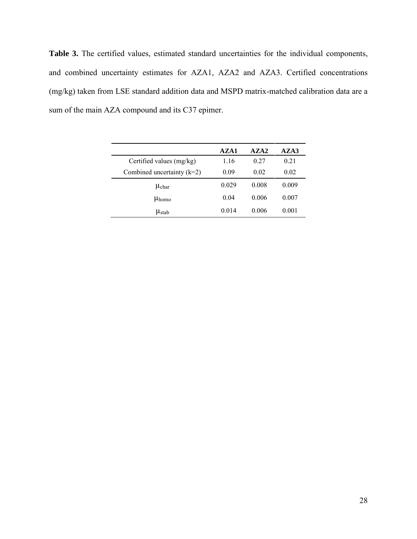**Table 3.** The certified values, estimated standard uncertainties for the individual components, and combined uncertainty estimates for AZA1, AZA2 and AZA3. Certified concentrations (mg/kg) taken from LSE standard addition data and MSPD matrix-matched calibration data are a sum of the main AZA compound and its C37 epimer.

|                              | A Z A 1 | AZA2  | AZA3  |
|------------------------------|---------|-------|-------|
| Certified values (mg/kg)     | 1.16    | 0.27  | 0.21  |
| Combined uncertainty $(k=2)$ | 0.09    | 0.02  | 0.02  |
| $\mu_{\rm char}$             | 0.029   | 0.008 | 0.009 |
| $\mu_{\text{homo}}$          | 0.04    | 0.006 | 0.007 |
| $\mu_{stab}$                 | 0.014   | 0.006 | 0.001 |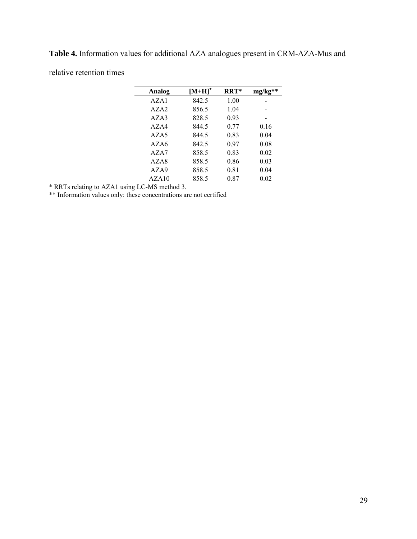**Table 4.** Information values for additional AZA analogues present in CRM-AZA-Mus and relative retention times

| Analog  | $[M+H]^+$ | RRT* | $mg/kg**$ |
|---------|-----------|------|-----------|
| AZA1    | 842.5     | 1.00 |           |
| A Z A 2 | 856.5     | 1.04 |           |
| A Z A 3 | 828.5     | 0.93 |           |
| AZAA    | 844.5     | 0.77 | 0.16      |
| AZA5    | 844.5     | 0.83 | 0.04      |
| AZAA    | 842.5     | 0.97 | 0.08      |
| A Z A 7 | 858.5     | 0.83 | 0.02      |
| AZA8    | 858.5     | 0.86 | 0.03      |
| AZA9    | 858.5     | 0.81 | 0.04      |
| AZA10   | 858.5     | 0.87 | 0.02      |

\* RRTs relating to AZA1 using LC-MS method 3.

\*\* Information values only: these concentrations are not certified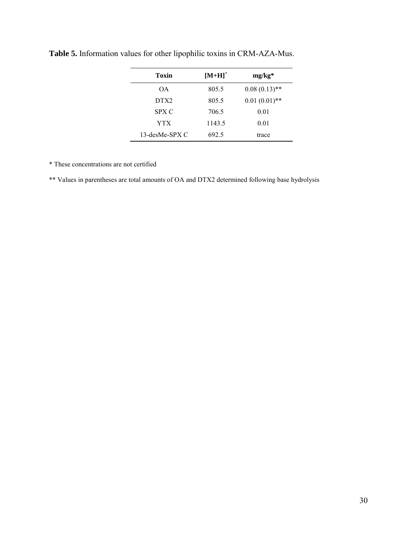| Toxin            | $[M+H]$ <sup>+</sup> | $mg/kg*$        |
|------------------|----------------------|-----------------|
| <b>OA</b>        | 805.5                | $0.08(0.13)$ ** |
| DTX <sub>2</sub> | 805.5                | $0.01(0.01)$ ** |
| SPX C            | 706.5                | 0.01            |
| YTX              | 1143.5               | 0.01            |
| 13-desMe-SPX C   | 692.5                | trace           |

**Table 5.** Information values for other lipophilic toxins in CRM-AZA-Mus.

\* These concentrations are not certified

\*\* Values in parentheses are total amounts of OA and DTX2 determined following base hydrolysis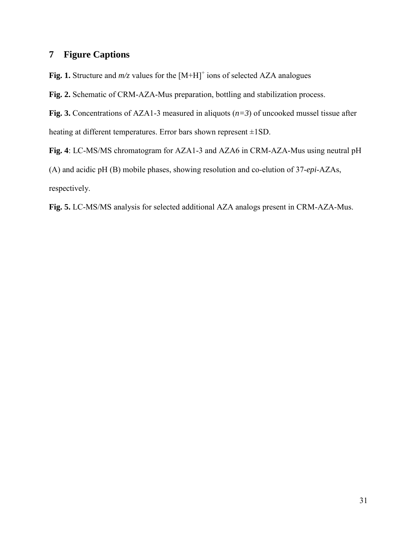# **7 Figure Captions**

Fig. 1. Structure and  $m/z$  values for the  $[M+H]$ <sup>+</sup> ions of selected AZA analogues

**Fig. 2.** Schematic of CRM-AZA-Mus preparation, bottling and stabilization process.

**Fig. 3.** Concentrations of AZA1-3 measured in aliquots (*n=3*) of uncooked mussel tissue after heating at different temperatures. Error bars shown represent ±1SD.

**Fig. 4**: LC-MS/MS chromatogram for AZA1-3 and AZA6 in CRM-AZA-Mus using neutral pH (A) and acidic pH (B) mobile phases, showing resolution and co-elution of 37-*epi*-AZAs, respectively.

**Fig. 5.** LC-MS/MS analysis for selected additional AZA analogs present in CRM-AZA-Mus.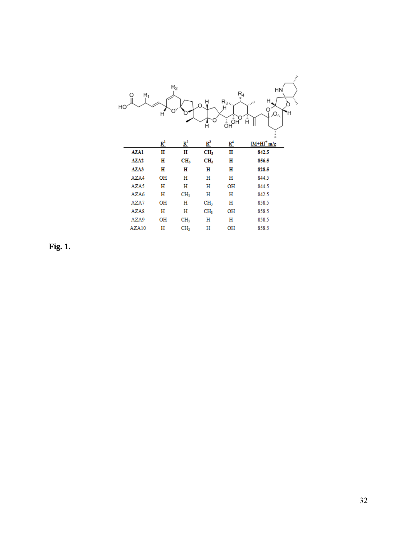| НO | O<br>$\mathsf{R}_1$ | н              | $R_2$           | Ĥ<br>C<br>Ĥ     | $\frac{R_4}{7}$<br>R <sub>3</sub> <sub>4</sub><br>ÖH <sup>ÖHO</sup> | HN<br>Н<br>$\iota_{\ell_{\ell_{\ell}}}$<br>'n<br>,0,<br>Ή<br>Ĥ | $\mathcal{P}_i$<br>t, |
|----|---------------------|----------------|-----------------|-----------------|---------------------------------------------------------------------|----------------------------------------------------------------|-----------------------|
|    |                     | $\mathbb{R}^1$ | $\mathbb{R}^2$  | $R^3$           | $R^4$                                                               | $[M+H]^+m/z$                                                   |                       |
|    | <b>AZA1</b>         | н              | н               | CH <sub>3</sub> | н                                                                   | 842.5                                                          |                       |
|    | AZA <sub>2</sub>    | н              | CH <sub>3</sub> | CH <sub>3</sub> | н                                                                   | 856.5                                                          |                       |
|    | AZA3                | н              | н               | н               | н                                                                   | 828.5                                                          |                       |
|    | AZA4                | OH             | н               | н               | н                                                                   | 844.5                                                          |                       |
|    | AZA5                | н              | н               | н               | OH                                                                  | 844.5                                                          |                       |
|    | AZA6                | н              | CH <sub>3</sub> | н               | н                                                                   | 842.5                                                          |                       |
|    | AZA7                | OH             | н               | CH <sub>3</sub> | н                                                                   | 858.5                                                          |                       |
|    | AZA8                | н              | н               | CH <sub>3</sub> | OН                                                                  | 858.5                                                          |                       |
|    | AZA9                | OН             | CH <sub>3</sub> | н               | н                                                                   | 858.5                                                          |                       |
|    | AZA10               | н              | CH <sub>3</sub> | н               | OH                                                                  | 858.5                                                          |                       |

**Fig. 1.**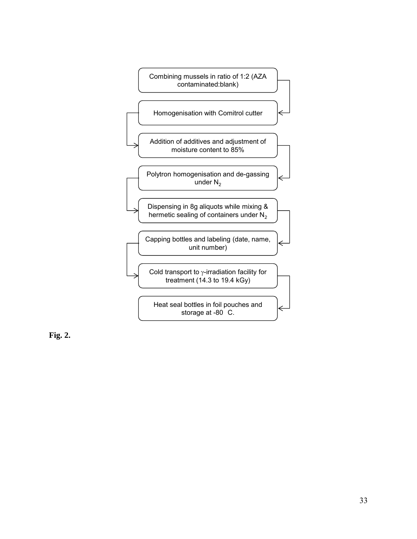

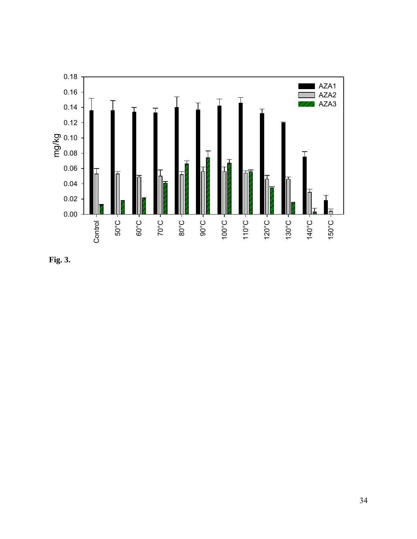

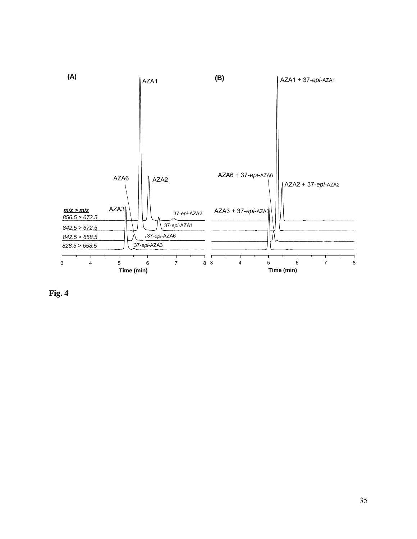